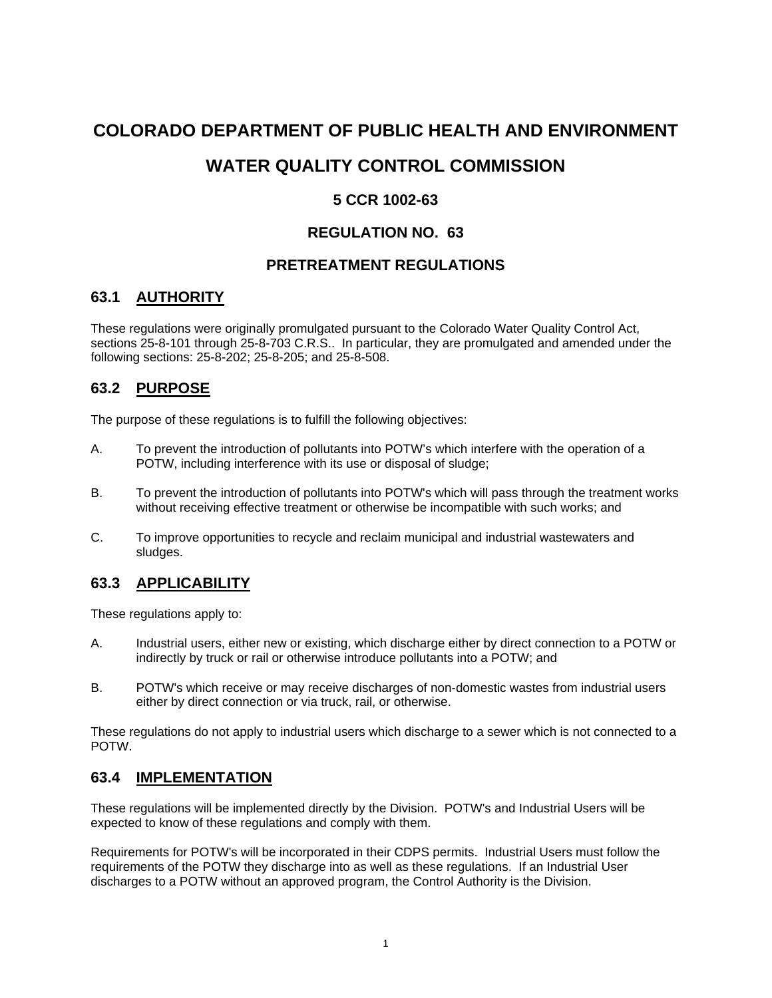# **COLORADO DEPARTMENT OF PUBLIC HEALTH AND ENVIRONMENT**

## **WATER QUALITY CONTROL COMMISSION**

## **5 CCR 1002-63**

## **REGULATION NO. 63**

## **PRETREATMENT REGULATIONS**

## **63.1 AUTHORITY**

These regulations were originally promulgated pursuant to the Colorado Water Quality Control Act, sections 25-8-101 through 25-8-703 C.R.S.. In particular, they are promulgated and amended under the following sections: 25-8-202; 25-8-205; and 25-8-508.

#### **63.2 PURPOSE**

The purpose of these regulations is to fulfill the following objectives:

- A. To prevent the introduction of pollutants into POTW's which interfere with the operation of a POTW, including interference with its use or disposal of sludge;
- B. To prevent the introduction of pollutants into POTW's which will pass through the treatment works without receiving effective treatment or otherwise be incompatible with such works; and
- C. To improve opportunities to recycle and reclaim municipal and industrial wastewaters and sludges.

#### **63.3 APPLICABILITY**

These regulations apply to:

- A. Industrial users, either new or existing, which discharge either by direct connection to a POTW or indirectly by truck or rail or otherwise introduce pollutants into a POTW; and
- B. POTW's which receive or may receive discharges of non-domestic wastes from industrial users either by direct connection or via truck, rail, or otherwise.

These regulations do not apply to industrial users which discharge to a sewer which is not connected to a POTW.

#### **63.4 IMPLEMENTATION**

These regulations will be implemented directly by the Division. POTW's and Industrial Users will be expected to know of these regulations and comply with them.

Requirements for POTW's will be incorporated in their CDPS permits. Industrial Users must follow the requirements of the POTW they discharge into as well as these regulations. If an Industrial User discharges to a POTW without an approved program, the Control Authority is the Division.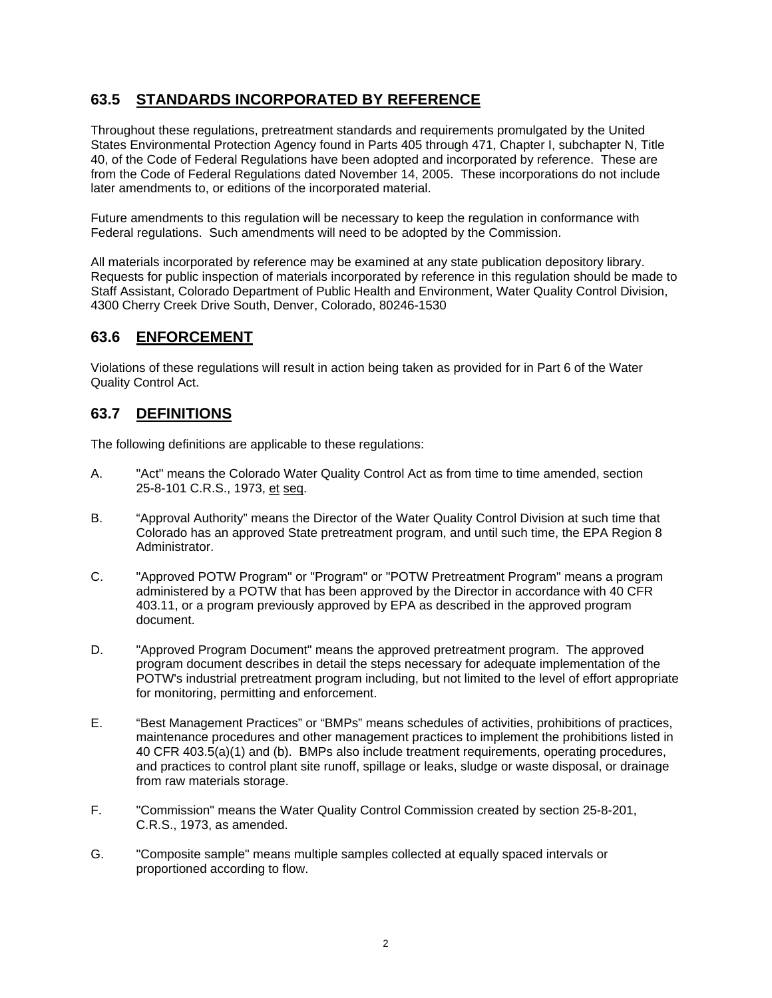## **63.5 STANDARDS INCORPORATED BY REFERENCE**

Throughout these regulations, pretreatment standards and requirements promulgated by the United States Environmental Protection Agency found in Parts 405 through 471, Chapter I, subchapter N, Title 40, of the Code of Federal Regulations have been adopted and incorporated by reference. These are from the Code of Federal Regulations dated November 14, 2005. These incorporations do not include later amendments to, or editions of the incorporated material.

Future amendments to this regulation will be necessary to keep the regulation in conformance with Federal regulations. Such amendments will need to be adopted by the Commission.

All materials incorporated by reference may be examined at any state publication depository library. Requests for public inspection of materials incorporated by reference in this regulation should be made to Staff Assistant, Colorado Department of Public Health and Environment, Water Quality Control Division, 4300 Cherry Creek Drive South, Denver, Colorado, 80246-1530

#### **63.6 ENFORCEMENT**

Violations of these regulations will result in action being taken as provided for in Part 6 of the Water Quality Control Act.

#### **63.7 DEFINITIONS**

The following definitions are applicable to these regulations:

- A. "Act" means the Colorado Water Quality Control Act as from time to time amended, section 25-8-101 C.R.S., 1973, et seq.
- B. "Approval Authority" means the Director of the Water Quality Control Division at such time that Colorado has an approved State pretreatment program, and until such time, the EPA Region 8 Administrator.
- C. "Approved POTW Program" or "Program" or "POTW Pretreatment Program" means a program administered by a POTW that has been approved by the Director in accordance with 40 CFR 403.11, or a program previously approved by EPA as described in the approved program document.
- D. "Approved Program Document" means the approved pretreatment program. The approved program document describes in detail the steps necessary for adequate implementation of the POTW's industrial pretreatment program including, but not limited to the level of effort appropriate for monitoring, permitting and enforcement.
- E. "Best Management Practices" or "BMPs" means schedules of activities, prohibitions of practices, maintenance procedures and other management practices to implement the prohibitions listed in 40 CFR 403.5(a)(1) and (b). BMPs also include treatment requirements, operating procedures, and practices to control plant site runoff, spillage or leaks, sludge or waste disposal, or drainage from raw materials storage.
- F. "Commission" means the Water Quality Control Commission created by section 25-8-201, C.R.S., 1973, as amended.
- G. "Composite sample" means multiple samples collected at equally spaced intervals or proportioned according to flow.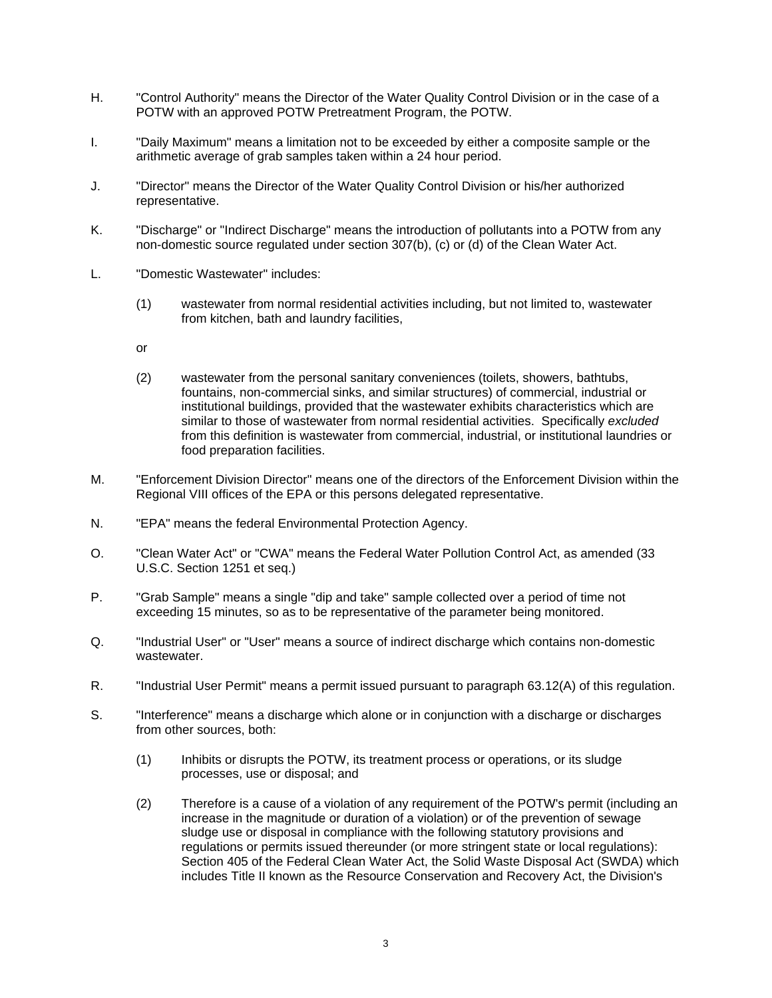- H. "Control Authority" means the Director of the Water Quality Control Division or in the case of a POTW with an approved POTW Pretreatment Program, the POTW.
- I. "Daily Maximum" means a limitation not to be exceeded by either a composite sample or the arithmetic average of grab samples taken within a 24 hour period.
- J. "Director" means the Director of the Water Quality Control Division or his/her authorized representative.
- K. "Discharge" or "Indirect Discharge" means the introduction of pollutants into a POTW from any non-domestic source regulated under section 307(b), (c) or (d) of the Clean Water Act.
- L. "Domestic Wastewater" includes:
	- (1) wastewater from normal residential activities including, but not limited to, wastewater from kitchen, bath and laundry facilities,
	- or
	- (2) wastewater from the personal sanitary conveniences (toilets, showers, bathtubs, fountains, non-commercial sinks, and similar structures) of commercial, industrial or institutional buildings, provided that the wastewater exhibits characteristics which are similar to those of wastewater from normal residential activities. Specifically *excluded* from this definition is wastewater from commercial, industrial, or institutional laundries or food preparation facilities.
- M. "Enforcement Division Director" means one of the directors of the Enforcement Division within the Regional VIII offices of the EPA or this persons delegated representative.
- N. "EPA" means the federal Environmental Protection Agency.
- O. "Clean Water Act" or "CWA" means the Federal Water Pollution Control Act, as amended (33 U.S.C. Section 1251 et seq.)
- P. "Grab Sample" means a single "dip and take" sample collected over a period of time not exceeding 15 minutes, so as to be representative of the parameter being monitored.
- Q. "Industrial User" or "User" means a source of indirect discharge which contains non-domestic wastewater.
- R. "Industrial User Permit" means a permit issued pursuant to paragraph 63.12(A) of this regulation.
- S. "Interference" means a discharge which alone or in conjunction with a discharge or discharges from other sources, both:
	- (1) Inhibits or disrupts the POTW, its treatment process or operations, or its sludge processes, use or disposal; and
	- (2) Therefore is a cause of a violation of any requirement of the POTW's permit (including an increase in the magnitude or duration of a violation) or of the prevention of sewage sludge use or disposal in compliance with the following statutory provisions and regulations or permits issued thereunder (or more stringent state or local regulations): Section 405 of the Federal Clean Water Act, the Solid Waste Disposal Act (SWDA) which includes Title II known as the Resource Conservation and Recovery Act, the Division's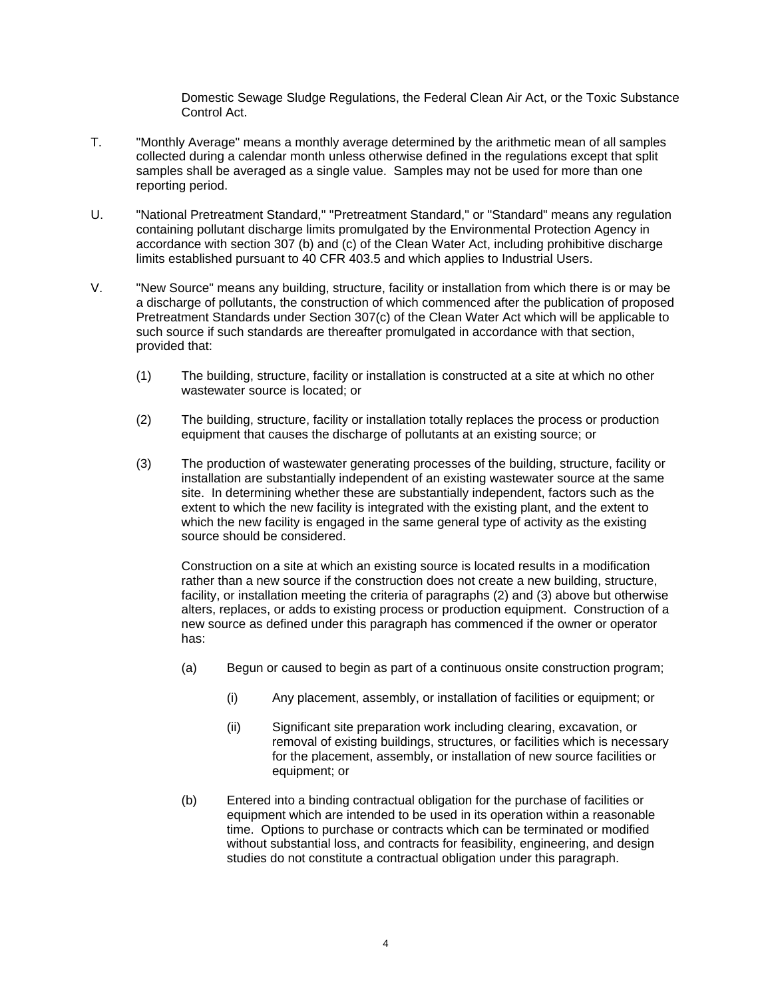Domestic Sewage Sludge Regulations, the Federal Clean Air Act, or the Toxic Substance Control Act.

- T. "Monthly Average" means a monthly average determined by the arithmetic mean of all samples collected during a calendar month unless otherwise defined in the regulations except that split samples shall be averaged as a single value. Samples may not be used for more than one reporting period.
- U. "National Pretreatment Standard," "Pretreatment Standard," or "Standard" means any regulation containing pollutant discharge limits promulgated by the Environmental Protection Agency in accordance with section 307 (b) and (c) of the Clean Water Act, including prohibitive discharge limits established pursuant to 40 CFR 403.5 and which applies to Industrial Users.
- V. "New Source" means any building, structure, facility or installation from which there is or may be a discharge of pollutants, the construction of which commenced after the publication of proposed Pretreatment Standards under Section 307(c) of the Clean Water Act which will be applicable to such source if such standards are thereafter promulgated in accordance with that section, provided that:
	- (1) The building, structure, facility or installation is constructed at a site at which no other wastewater source is located; or
	- (2) The building, structure, facility or installation totally replaces the process or production equipment that causes the discharge of pollutants at an existing source; or
	- (3) The production of wastewater generating processes of the building, structure, facility or installation are substantially independent of an existing wastewater source at the same site. In determining whether these are substantially independent, factors such as the extent to which the new facility is integrated with the existing plant, and the extent to which the new facility is engaged in the same general type of activity as the existing source should be considered.

Construction on a site at which an existing source is located results in a modification rather than a new source if the construction does not create a new building, structure, facility, or installation meeting the criteria of paragraphs (2) and (3) above but otherwise alters, replaces, or adds to existing process or production equipment. Construction of a new source as defined under this paragraph has commenced if the owner or operator has:

- (a) Begun or caused to begin as part of a continuous onsite construction program;
	- (i) Any placement, assembly, or installation of facilities or equipment; or
	- (ii) Significant site preparation work including clearing, excavation, or removal of existing buildings, structures, or facilities which is necessary for the placement, assembly, or installation of new source facilities or equipment; or
- (b) Entered into a binding contractual obligation for the purchase of facilities or equipment which are intended to be used in its operation within a reasonable time. Options to purchase or contracts which can be terminated or modified without substantial loss, and contracts for feasibility, engineering, and design studies do not constitute a contractual obligation under this paragraph.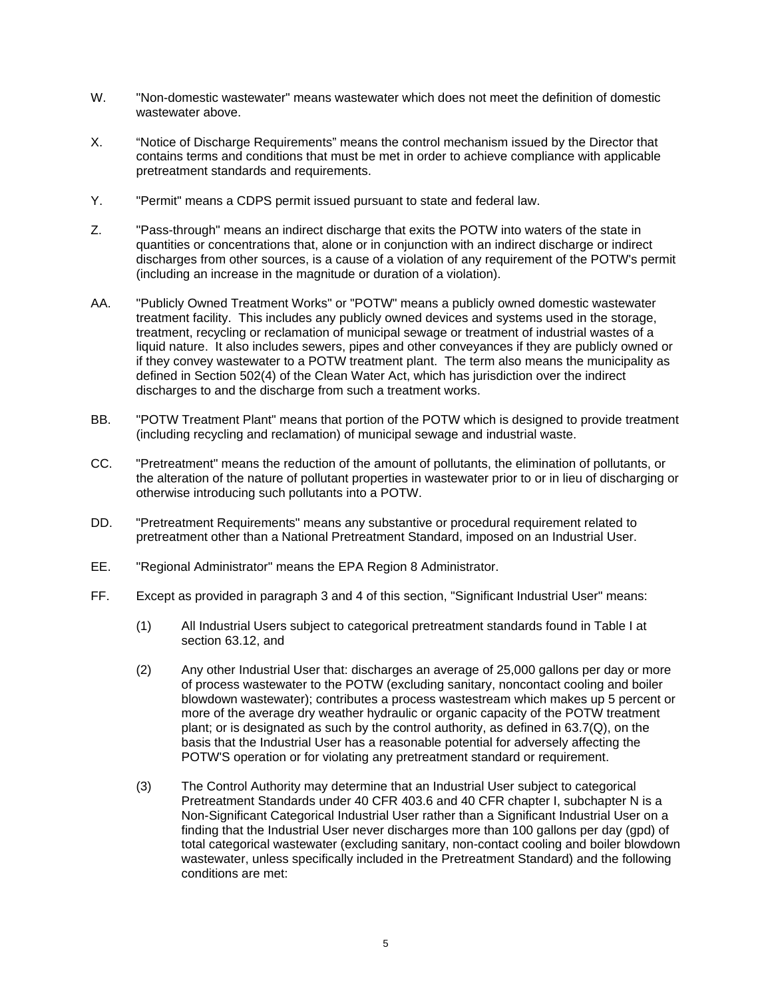- W. "Non-domestic wastewater" means wastewater which does not meet the definition of domestic wastewater above.
- X. "Notice of Discharge Requirements" means the control mechanism issued by the Director that contains terms and conditions that must be met in order to achieve compliance with applicable pretreatment standards and requirements.
- Y. "Permit" means a CDPS permit issued pursuant to state and federal law.
- Z. "Pass-through" means an indirect discharge that exits the POTW into waters of the state in quantities or concentrations that, alone or in conjunction with an indirect discharge or indirect discharges from other sources, is a cause of a violation of any requirement of the POTW's permit (including an increase in the magnitude or duration of a violation).
- AA. "Publicly Owned Treatment Works" or "POTW" means a publicly owned domestic wastewater treatment facility. This includes any publicly owned devices and systems used in the storage, treatment, recycling or reclamation of municipal sewage or treatment of industrial wastes of a liquid nature. It also includes sewers, pipes and other conveyances if they are publicly owned or if they convey wastewater to a POTW treatment plant. The term also means the municipality as defined in Section 502(4) of the Clean Water Act, which has jurisdiction over the indirect discharges to and the discharge from such a treatment works.
- BB. "POTW Treatment Plant" means that portion of the POTW which is designed to provide treatment (including recycling and reclamation) of municipal sewage and industrial waste.
- CC. "Pretreatment" means the reduction of the amount of pollutants, the elimination of pollutants, or the alteration of the nature of pollutant properties in wastewater prior to or in lieu of discharging or otherwise introducing such pollutants into a POTW.
- DD. "Pretreatment Requirements" means any substantive or procedural requirement related to pretreatment other than a National Pretreatment Standard, imposed on an Industrial User.
- EE. "Regional Administrator" means the EPA Region 8 Administrator.
- FF. Except as provided in paragraph 3 and 4 of this section, "Significant Industrial User" means:
	- (1) All Industrial Users subject to categorical pretreatment standards found in Table I at section 63.12, and
	- (2) Any other Industrial User that: discharges an average of 25,000 gallons per day or more of process wastewater to the POTW (excluding sanitary, noncontact cooling and boiler blowdown wastewater); contributes a process wastestream which makes up 5 percent or more of the average dry weather hydraulic or organic capacity of the POTW treatment plant; or is designated as such by the control authority, as defined in  $63.7(Q)$ , on the basis that the Industrial User has a reasonable potential for adversely affecting the POTW'S operation or for violating any pretreatment standard or requirement.
	- (3) The Control Authority may determine that an Industrial User subject to categorical Pretreatment Standards under 40 CFR 403.6 and 40 CFR chapter I, subchapter N is a Non-Significant Categorical Industrial User rather than a Significant Industrial User on a finding that the Industrial User never discharges more than 100 gallons per day (gpd) of total categorical wastewater (excluding sanitary, non-contact cooling and boiler blowdown wastewater, unless specifically included in the Pretreatment Standard) and the following conditions are met: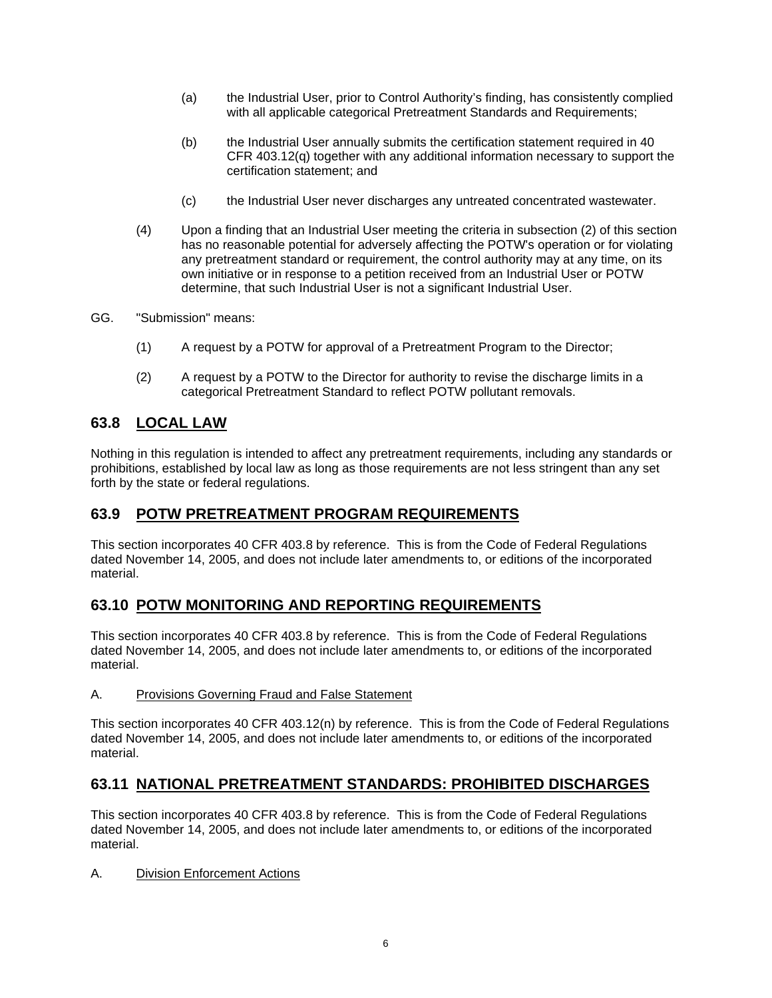- (a) the Industrial User, prior to Control Authority's finding, has consistently complied with all applicable categorical Pretreatment Standards and Requirements;
- (b) the Industrial User annually submits the certification statement required in 40 CFR 403.12(q) together with any additional information necessary to support the certification statement; and
- (c) the Industrial User never discharges any untreated concentrated wastewater.
- (4) Upon a finding that an Industrial User meeting the criteria in subsection (2) of this section has no reasonable potential for adversely affecting the POTW's operation or for violating any pretreatment standard or requirement, the control authority may at any time, on its own initiative or in response to a petition received from an Industrial User or POTW determine, that such Industrial User is not a significant Industrial User.
- GG. "Submission" means:
	- (1) A request by a POTW for approval of a Pretreatment Program to the Director;
	- (2) A request by a POTW to the Director for authority to revise the discharge limits in a categorical Pretreatment Standard to reflect POTW pollutant removals.

#### **63.8 LOCAL LAW**

Nothing in this regulation is intended to affect any pretreatment requirements, including any standards or prohibitions, established by local law as long as those requirements are not less stringent than any set forth by the state or federal regulations.

#### **63.9 POTW PRETREATMENT PROGRAM REQUIREMENTS**

This section incorporates 40 CFR 403.8 by reference. This is from the Code of Federal Regulations dated November 14, 2005, and does not include later amendments to, or editions of the incorporated material.

#### **63.10 POTW MONITORING AND REPORTING REQUIREMENTS**

This section incorporates 40 CFR 403.8 by reference. This is from the Code of Federal Regulations dated November 14, 2005, and does not include later amendments to, or editions of the incorporated material.

#### A. Provisions Governing Fraud and False Statement

This section incorporates 40 CFR 403.12(n) by reference. This is from the Code of Federal Regulations dated November 14, 2005, and does not include later amendments to, or editions of the incorporated material.

#### **63.11 NATIONAL PRETREATMENT STANDARDS: PROHIBITED DISCHARGES**

This section incorporates 40 CFR 403.8 by reference. This is from the Code of Federal Regulations dated November 14, 2005, and does not include later amendments to, or editions of the incorporated material.

#### A. Division Enforcement Actions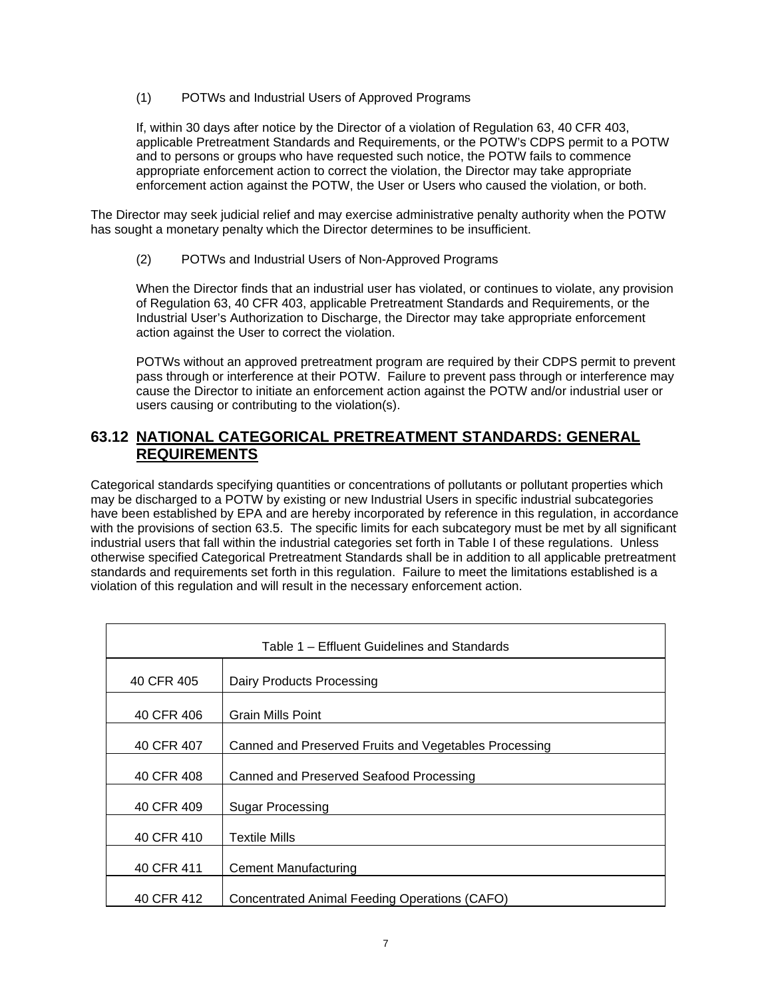#### (1) POTWs and Industrial Users of Approved Programs

If, within 30 days after notice by the Director of a violation of Regulation 63, 40 CFR 403, applicable Pretreatment Standards and Requirements, or the POTW's CDPS permit to a POTW and to persons or groups who have requested such notice, the POTW fails to commence appropriate enforcement action to correct the violation, the Director may take appropriate enforcement action against the POTW, the User or Users who caused the violation, or both.

The Director may seek judicial relief and may exercise administrative penalty authority when the POTW has sought a monetary penalty which the Director determines to be insufficient.

(2) POTWs and Industrial Users of Non-Approved Programs

When the Director finds that an industrial user has violated, or continues to violate, any provision of Regulation 63, 40 CFR 403, applicable Pretreatment Standards and Requirements, or the Industrial User's Authorization to Discharge, the Director may take appropriate enforcement action against the User to correct the violation.

POTWs without an approved pretreatment program are required by their CDPS permit to prevent pass through or interference at their POTW. Failure to prevent pass through or interference may cause the Director to initiate an enforcement action against the POTW and/or industrial user or users causing or contributing to the violation(s).

#### **63.12 NATIONAL CATEGORICAL PRETREATMENT STANDARDS: GENERAL REQUIREMENTS**

Categorical standards specifying quantities or concentrations of pollutants or pollutant properties which may be discharged to a POTW by existing or new Industrial Users in specific industrial subcategories have been established by EPA and are hereby incorporated by reference in this regulation, in accordance with the provisions of section 63.5. The specific limits for each subcategory must be met by all significant industrial users that fall within the industrial categories set forth in Table I of these regulations. Unless otherwise specified Categorical Pretreatment Standards shall be in addition to all applicable pretreatment standards and requirements set forth in this regulation. Failure to meet the limitations established is a violation of this regulation and will result in the necessary enforcement action.

| Table 1 – Effluent Guidelines and Standards |                                                       |  |  |  |
|---------------------------------------------|-------------------------------------------------------|--|--|--|
| 40 CFR 405                                  | Dairy Products Processing                             |  |  |  |
| 40 CFR 406                                  | Grain Mills Point                                     |  |  |  |
| 40 CFR 407                                  | Canned and Preserved Fruits and Vegetables Processing |  |  |  |
| 40 CFR 408                                  | Canned and Preserved Seafood Processing               |  |  |  |
| 40 CFR 409                                  | Sugar Processing                                      |  |  |  |
| 40 CFR 410                                  | <b>Textile Mills</b>                                  |  |  |  |
| 40 CFR 411                                  | <b>Cement Manufacturing</b>                           |  |  |  |
| 40 CFR 412                                  | Concentrated Animal Feeding Operations (CAFO)         |  |  |  |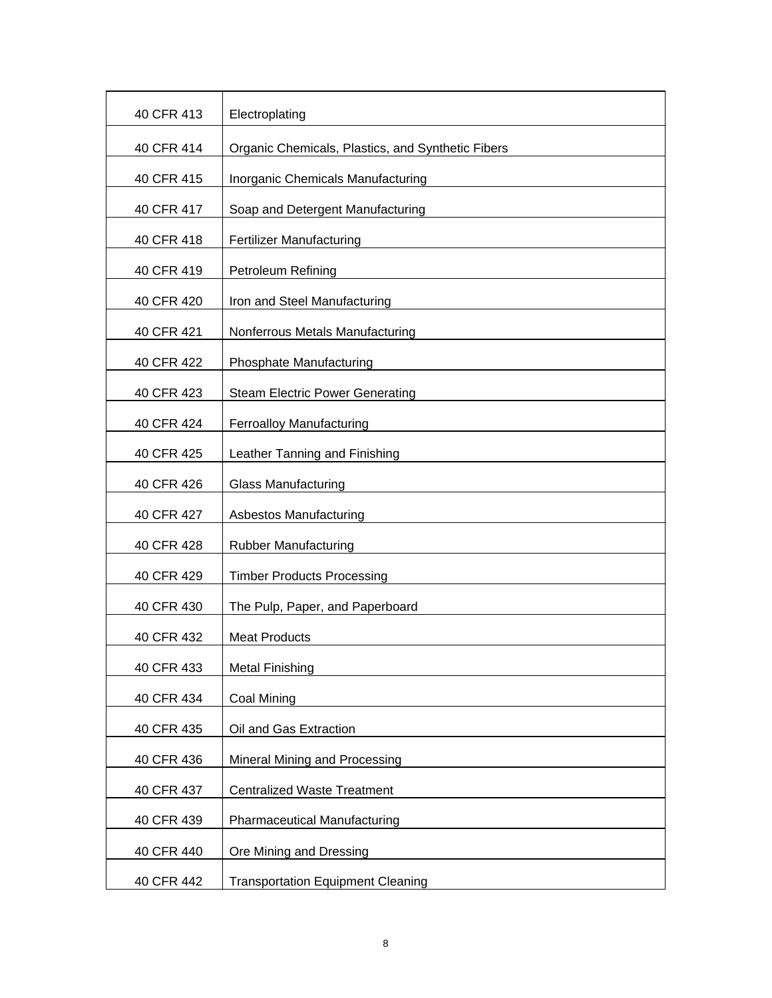| 40 CFR 413 | Electroplating                                    |
|------------|---------------------------------------------------|
| 40 CFR 414 | Organic Chemicals, Plastics, and Synthetic Fibers |
| 40 CFR 415 | Inorganic Chemicals Manufacturing                 |
| 40 CFR 417 | Soap and Detergent Manufacturing                  |
| 40 CFR 418 | Fertilizer Manufacturing                          |
| 40 CFR 419 | Petroleum Refining                                |
| 40 CFR 420 | Iron and Steel Manufacturing                      |
| 40 CFR 421 | Nonferrous Metals Manufacturing                   |
| 40 CFR 422 | Phosphate Manufacturing                           |
| 40 CFR 423 | <b>Steam Electric Power Generating</b>            |
| 40 CFR 424 | <b>Ferroalloy Manufacturing</b>                   |
| 40 CFR 425 | Leather Tanning and Finishing                     |
| 40 CFR 426 | <b>Glass Manufacturing</b>                        |
| 40 CFR 427 | <b>Asbestos Manufacturing</b>                     |
| 40 CFR 428 | <b>Rubber Manufacturing</b>                       |
| 40 CFR 429 | <b>Timber Products Processing</b>                 |
| 40 CFR 430 | The Pulp, Paper, and Paperboard                   |
| 40 CFR 432 | <b>Meat Products</b>                              |
| 40 CFR 433 | <b>Metal Finishing</b>                            |
| 40 CFR 434 | <b>Coal Mining</b>                                |
| 40 CFR 435 | Oil and Gas Extraction                            |
| 40 CFR 436 | Mineral Mining and Processing                     |
| 40 CFR 437 | <b>Centralized Waste Treatment</b>                |
| 40 CFR 439 | <b>Pharmaceutical Manufacturing</b>               |
| 40 CFR 440 | Ore Mining and Dressing                           |
| 40 CFR 442 | <b>Transportation Equipment Cleaning</b>          |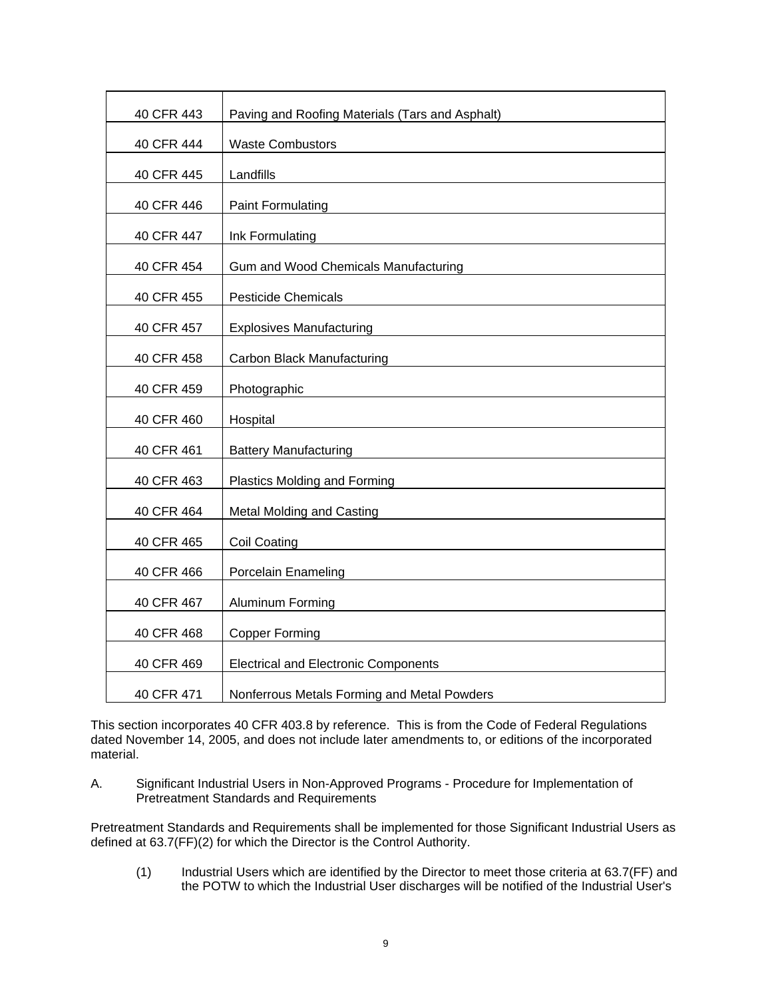| 40 CFR 443 | Paving and Roofing Materials (Tars and Asphalt) |
|------------|-------------------------------------------------|
| 40 CFR 444 | <b>Waste Combustors</b>                         |
| 40 CFR 445 | Landfills                                       |
| 40 CFR 446 | <b>Paint Formulating</b>                        |
| 40 CFR 447 | Ink Formulating                                 |
| 40 CFR 454 | Gum and Wood Chemicals Manufacturing            |
| 40 CFR 455 | <b>Pesticide Chemicals</b>                      |
| 40 CFR 457 | <b>Explosives Manufacturing</b>                 |
| 40 CFR 458 | Carbon Black Manufacturing                      |
| 40 CFR 459 | Photographic                                    |
| 40 CFR 460 | Hospital                                        |
| 40 CFR 461 | <b>Battery Manufacturing</b>                    |
| 40 CFR 463 | Plastics Molding and Forming                    |
| 40 CFR 464 | Metal Molding and Casting                       |
| 40 CFR 465 | <b>Coil Coating</b>                             |
| 40 CFR 466 | Porcelain Enameling                             |
| 40 CFR 467 | Aluminum Forming                                |
| 40 CFR 468 | <b>Copper Forming</b>                           |
| 40 CFR 469 | <b>Electrical and Electronic Components</b>     |
| 40 CFR 471 | Nonferrous Metals Forming and Metal Powders     |

This section incorporates 40 CFR 403.8 by reference. This is from the Code of Federal Regulations dated November 14, 2005, and does not include later amendments to, or editions of the incorporated material.

A. Significant Industrial Users in Non-Approved Programs - Procedure for Implementation of Pretreatment Standards and Requirements

Pretreatment Standards and Requirements shall be implemented for those Significant Industrial Users as defined at 63.7(FF)(2) for which the Director is the Control Authority.

(1) Industrial Users which are identified by the Director to meet those criteria at 63.7(FF) and the POTW to which the Industrial User discharges will be notified of the Industrial User's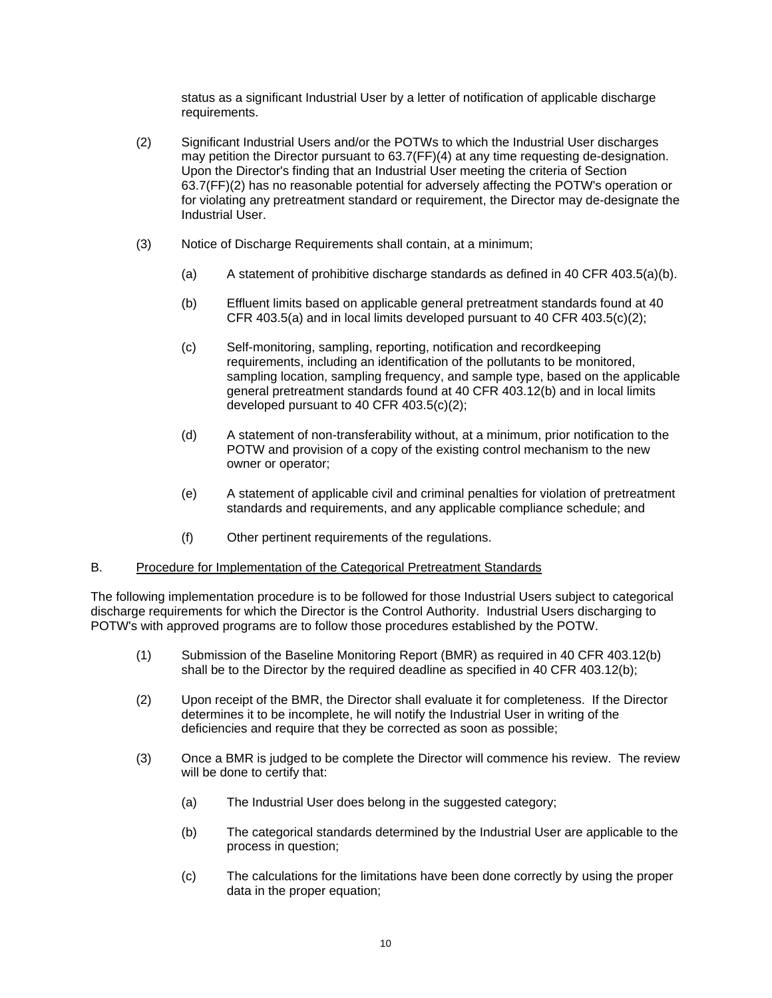status as a significant Industrial User by a letter of notification of applicable discharge requirements.

- (2) Significant Industrial Users and/or the POTWs to which the Industrial User discharges may petition the Director pursuant to 63.7(FF)(4) at any time requesting de-designation. Upon the Director's finding that an Industrial User meeting the criteria of Section 63.7(FF)(2) has no reasonable potential for adversely affecting the POTW's operation or for violating any pretreatment standard or requirement, the Director may de-designate the Industrial User.
- (3) Notice of Discharge Requirements shall contain, at a minimum;
	- (a) A statement of prohibitive discharge standards as defined in 40 CFR 403.5(a)(b).
	- (b) Effluent limits based on applicable general pretreatment standards found at 40 CFR 403.5(a) and in local limits developed pursuant to 40 CFR 403.5(c)(2);
	- (c) Self-monitoring, sampling, reporting, notification and recordkeeping requirements, including an identification of the pollutants to be monitored, sampling location, sampling frequency, and sample type, based on the applicable general pretreatment standards found at 40 CFR 403.12(b) and in local limits developed pursuant to 40 CFR 403.5(c)(2);
	- (d) A statement of non-transferability without, at a minimum, prior notification to the POTW and provision of a copy of the existing control mechanism to the new owner or operator;
	- (e) A statement of applicable civil and criminal penalties for violation of pretreatment standards and requirements, and any applicable compliance schedule; and
	- (f) Other pertinent requirements of the regulations.

#### B. Procedure for Implementation of the Categorical Pretreatment Standards

The following implementation procedure is to be followed for those Industrial Users subject to categorical discharge requirements for which the Director is the Control Authority. Industrial Users discharging to POTW's with approved programs are to follow those procedures established by the POTW.

- (1) Submission of the Baseline Monitoring Report (BMR) as required in 40 CFR 403.12(b) shall be to the Director by the required deadline as specified in 40 CFR 403.12(b);
- (2) Upon receipt of the BMR, the Director shall evaluate it for completeness. If the Director determines it to be incomplete, he will notify the Industrial User in writing of the deficiencies and require that they be corrected as soon as possible;
- (3) Once a BMR is judged to be complete the Director will commence his review. The review will be done to certify that:
	- (a) The Industrial User does belong in the suggested category;
	- (b) The categorical standards determined by the Industrial User are applicable to the process in question;
	- (c) The calculations for the limitations have been done correctly by using the proper data in the proper equation;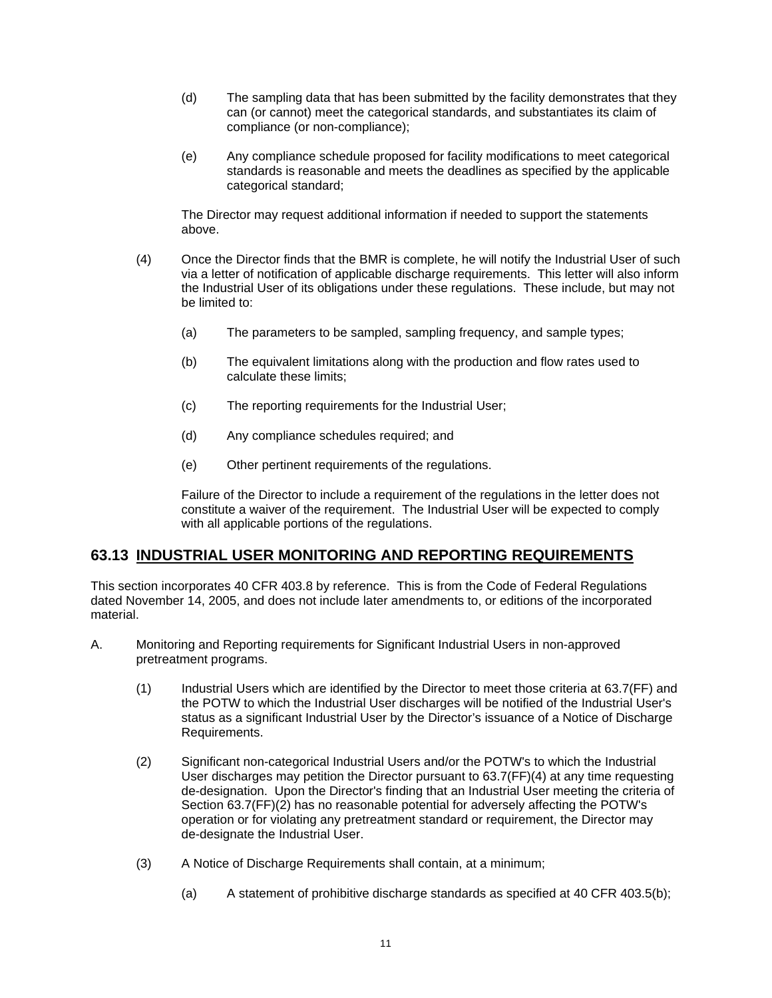- (d) The sampling data that has been submitted by the facility demonstrates that they can (or cannot) meet the categorical standards, and substantiates its claim of compliance (or non-compliance);
- (e) Any compliance schedule proposed for facility modifications to meet categorical standards is reasonable and meets the deadlines as specified by the applicable categorical standard;

The Director may request additional information if needed to support the statements above.

- (4) Once the Director finds that the BMR is complete, he will notify the Industrial User of such via a letter of notification of applicable discharge requirements. This letter will also inform the Industrial User of its obligations under these regulations. These include, but may not be limited to:
	- (a) The parameters to be sampled, sampling frequency, and sample types;
	- (b) The equivalent limitations along with the production and flow rates used to calculate these limits;
	- (c) The reporting requirements for the Industrial User;
	- (d) Any compliance schedules required; and
	- (e) Other pertinent requirements of the regulations.

Failure of the Director to include a requirement of the regulations in the letter does not constitute a waiver of the requirement. The Industrial User will be expected to comply with all applicable portions of the regulations.

#### **63.13 INDUSTRIAL USER MONITORING AND REPORTING REQUIREMENTS**

This section incorporates 40 CFR 403.8 by reference. This is from the Code of Federal Regulations dated November 14, 2005, and does not include later amendments to, or editions of the incorporated material.

- A. Monitoring and Reporting requirements for Significant Industrial Users in non-approved pretreatment programs.
	- (1) Industrial Users which are identified by the Director to meet those criteria at 63.7(FF) and the POTW to which the Industrial User discharges will be notified of the Industrial User's status as a significant Industrial User by the Director's issuance of a Notice of Discharge Requirements.
	- (2) Significant non-categorical Industrial Users and/or the POTW's to which the Industrial User discharges may petition the Director pursuant to 63.7(FF)(4) at any time requesting de-designation. Upon the Director's finding that an Industrial User meeting the criteria of Section 63.7(FF)(2) has no reasonable potential for adversely affecting the POTW's operation or for violating any pretreatment standard or requirement, the Director may de-designate the Industrial User.
	- (3) A Notice of Discharge Requirements shall contain, at a minimum;
		- (a) A statement of prohibitive discharge standards as specified at 40 CFR 403.5(b);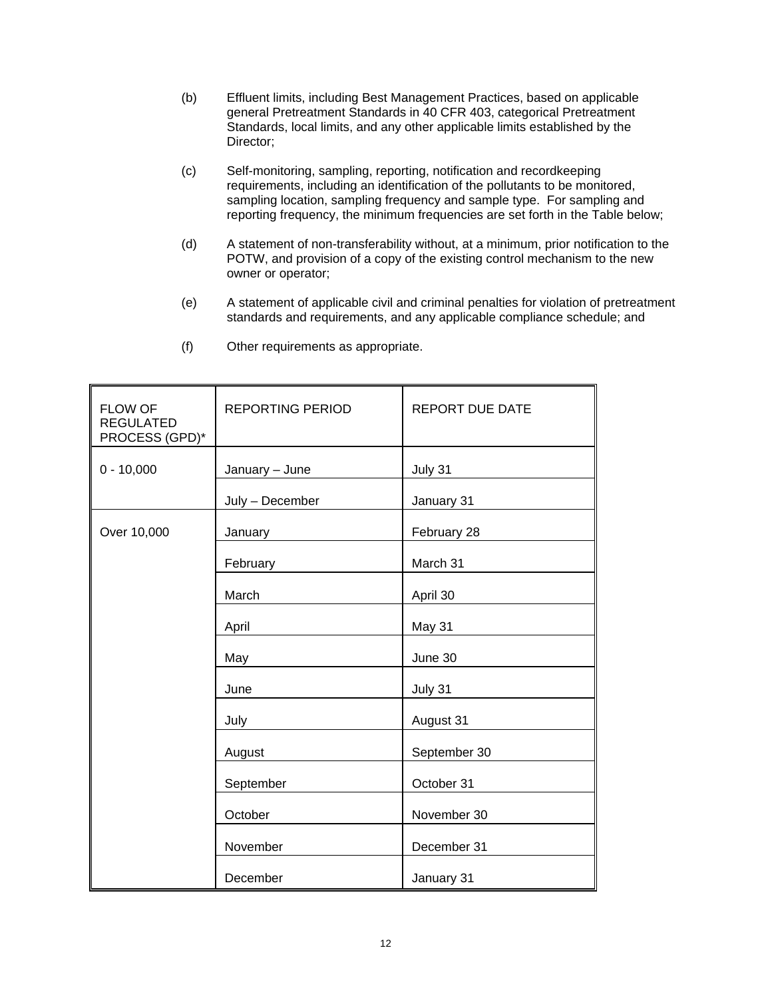- (b) Effluent limits, including Best Management Practices, based on applicable general Pretreatment Standards in 40 CFR 403, categorical Pretreatment Standards, local limits, and any other applicable limits established by the Director;
- (c) Self-monitoring, sampling, reporting, notification and recordkeeping requirements, including an identification of the pollutants to be monitored, sampling location, sampling frequency and sample type. For sampling and reporting frequency, the minimum frequencies are set forth in the Table below;
- (d) A statement of non-transferability without, at a minimum, prior notification to the POTW, and provision of a copy of the existing control mechanism to the new owner or operator;
- (e) A statement of applicable civil and criminal penalties for violation of pretreatment standards and requirements, and any applicable compliance schedule; and

| <b>FLOW OF</b><br><b>REGULATED</b><br>PROCESS (GPD)* | <b>REPORTING PERIOD</b> | <b>REPORT DUE DATE</b> |
|------------------------------------------------------|-------------------------|------------------------|
| $0 - 10,000$                                         | January - June          | July 31                |
|                                                      | July - December         | January 31             |
| Over 10,000                                          | January                 | February 28            |
|                                                      | February                | March 31               |
|                                                      | March                   | April 30               |
|                                                      | April                   | May 31                 |
|                                                      | May                     | June 30                |
|                                                      | June                    | July 31                |
|                                                      | July                    | August 31              |
|                                                      | August                  | September 30           |
|                                                      | September               | October 31             |
|                                                      | October                 | November 30            |
|                                                      | November                | December 31            |
|                                                      | December                | January 31             |

(f) Other requirements as appropriate.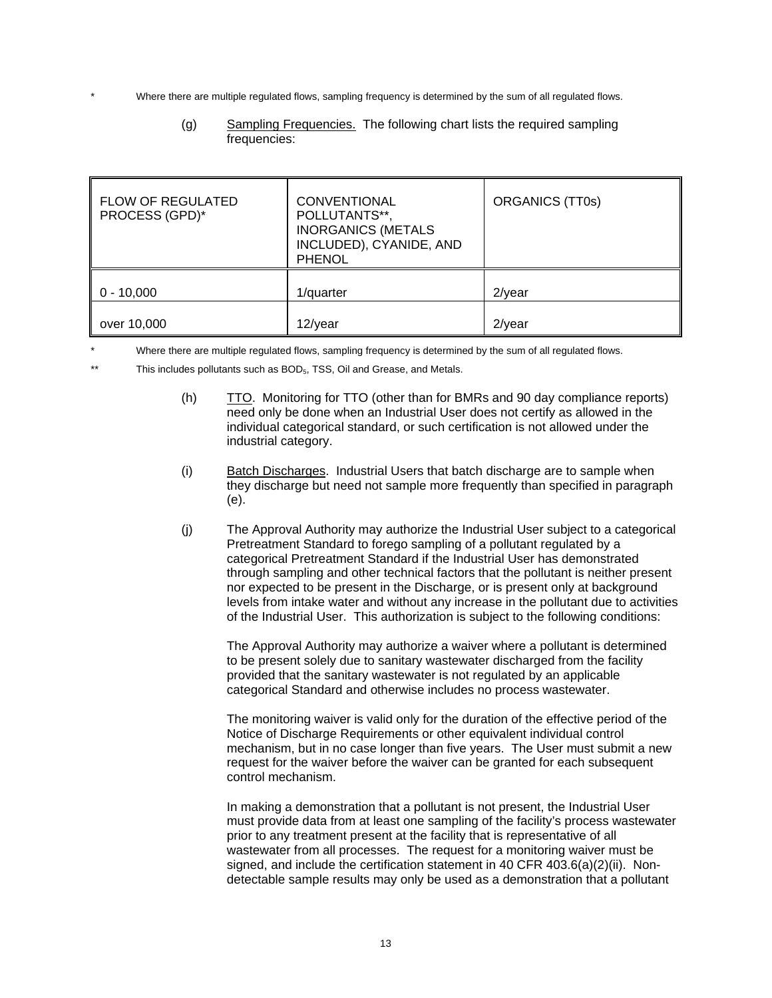Where there are multiple regulated flows, sampling frequency is determined by the sum of all regulated flows.

| <b>FLOW OF REGULATED</b><br>PROCESS (GPD)* | <b>CONVENTIONAL</b><br>POLLUTANTS**,<br><b>INORGANICS (METALS</b><br>INCLUDED), CYANIDE, AND<br><b>PHENOL</b> | <b>ORGANICS (TT0s)</b> |
|--------------------------------------------|---------------------------------------------------------------------------------------------------------------|------------------------|
| $0 - 10,000$                               | 1/quarter                                                                                                     | $2$ /year              |
| over 10,000                                | 12/year                                                                                                       | $2$ /year              |

(g) Sampling Frequencies. The following chart lists the required sampling frequencies:

Where there are multiple regulated flows, sampling frequency is determined by the sum of all regulated flows.

- \*\* This includes pollutants such as BOD<sub>5</sub>, TSS, Oil and Grease, and Metals.
	- (h) TTO. Monitoring for TTO (other than for BMRs and 90 day compliance reports) need only be done when an Industrial User does not certify as allowed in the individual categorical standard, or such certification is not allowed under the industrial category.
	- (i) Batch Discharges. Industrial Users that batch discharge are to sample when they discharge but need not sample more frequently than specified in paragraph (e).
	- (j) The Approval Authority may authorize the Industrial User subject to a categorical Pretreatment Standard to forego sampling of a pollutant regulated by a categorical Pretreatment Standard if the Industrial User has demonstrated through sampling and other technical factors that the pollutant is neither present nor expected to be present in the Discharge, or is present only at background levels from intake water and without any increase in the pollutant due to activities of the Industrial User. This authorization is subject to the following conditions:

The Approval Authority may authorize a waiver where a pollutant is determined to be present solely due to sanitary wastewater discharged from the facility provided that the sanitary wastewater is not regulated by an applicable categorical Standard and otherwise includes no process wastewater.

The monitoring waiver is valid only for the duration of the effective period of the Notice of Discharge Requirements or other equivalent individual control mechanism, but in no case longer than five years. The User must submit a new request for the waiver before the waiver can be granted for each subsequent control mechanism.

In making a demonstration that a pollutant is not present, the Industrial User must provide data from at least one sampling of the facility's process wastewater prior to any treatment present at the facility that is representative of all wastewater from all processes. The request for a monitoring waiver must be signed, and include the certification statement in 40 CFR 403.6(a)(2)(ii). Nondetectable sample results may only be used as a demonstration that a pollutant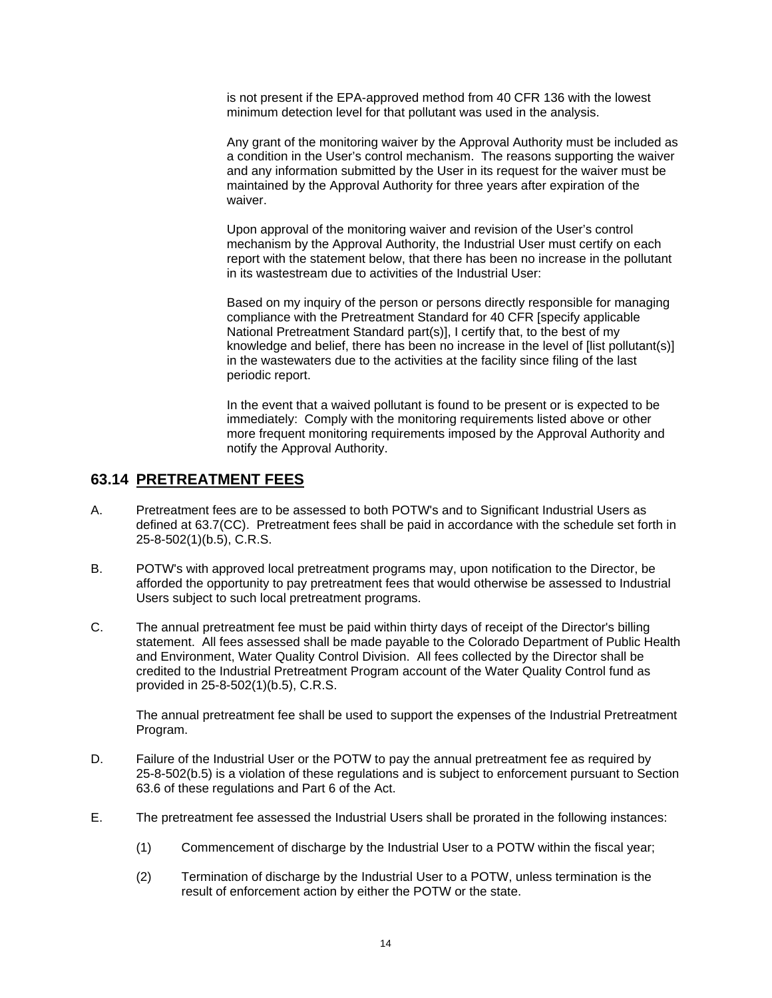is not present if the EPA-approved method from 40 CFR 136 with the lowest minimum detection level for that pollutant was used in the analysis.

Any grant of the monitoring waiver by the Approval Authority must be included as a condition in the User's control mechanism. The reasons supporting the waiver and any information submitted by the User in its request for the waiver must be maintained by the Approval Authority for three years after expiration of the waiver.

Upon approval of the monitoring waiver and revision of the User's control mechanism by the Approval Authority, the Industrial User must certify on each report with the statement below, that there has been no increase in the pollutant in its wastestream due to activities of the Industrial User:

Based on my inquiry of the person or persons directly responsible for managing compliance with the Pretreatment Standard for 40 CFR [specify applicable National Pretreatment Standard part(s)], I certify that, to the best of my knowledge and belief, there has been no increase in the level of [list pollutant(s)] in the wastewaters due to the activities at the facility since filing of the last periodic report.

In the event that a waived pollutant is found to be present or is expected to be immediately: Comply with the monitoring requirements listed above or other more frequent monitoring requirements imposed by the Approval Authority and notify the Approval Authority.

#### **63.14 PRETREATMENT FEES**

- A. Pretreatment fees are to be assessed to both POTW's and to Significant Industrial Users as defined at 63.7(CC). Pretreatment fees shall be paid in accordance with the schedule set forth in 25-8-502(1)(b.5), C.R.S.
- B. POTW's with approved local pretreatment programs may, upon notification to the Director, be afforded the opportunity to pay pretreatment fees that would otherwise be assessed to Industrial Users subject to such local pretreatment programs.
- C. The annual pretreatment fee must be paid within thirty days of receipt of the Director's billing statement. All fees assessed shall be made payable to the Colorado Department of Public Health and Environment, Water Quality Control Division. All fees collected by the Director shall be credited to the Industrial Pretreatment Program account of the Water Quality Control fund as provided in 25-8-502(1)(b.5), C.R.S.

The annual pretreatment fee shall be used to support the expenses of the Industrial Pretreatment Program.

- D. Failure of the Industrial User or the POTW to pay the annual pretreatment fee as required by 25-8-502(b.5) is a violation of these regulations and is subject to enforcement pursuant to Section 63.6 of these regulations and Part 6 of the Act.
- E. The pretreatment fee assessed the Industrial Users shall be prorated in the following instances:
	- (1) Commencement of discharge by the Industrial User to a POTW within the fiscal year;
	- (2) Termination of discharge by the Industrial User to a POTW, unless termination is the result of enforcement action by either the POTW or the state.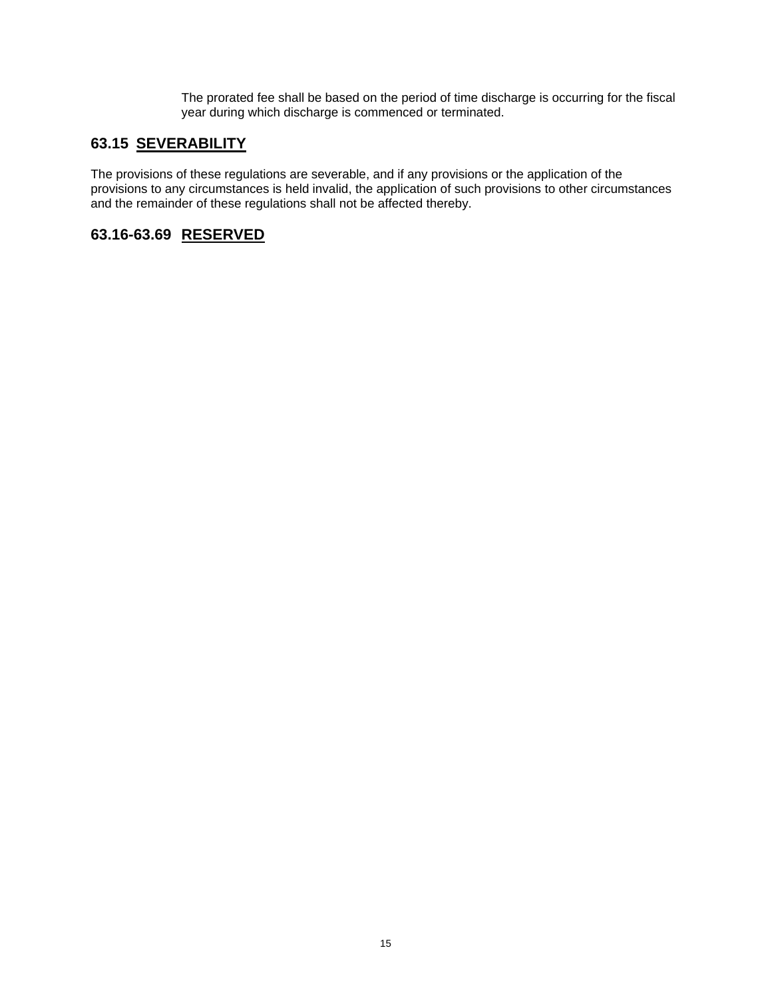The prorated fee shall be based on the period of time discharge is occurring for the fiscal year during which discharge is commenced or terminated.

#### **63.15 SEVERABILITY**

The provisions of these regulations are severable, and if any provisions or the application of the provisions to any circumstances is held invalid, the application of such provisions to other circumstances and the remainder of these regulations shall not be affected thereby.

## **63.16-63.69 RESERVED**